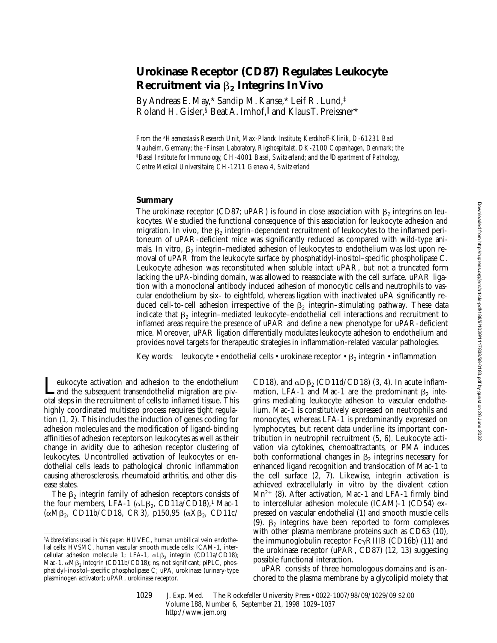By Andreas E. May,\* Sandip M. Kanse,\* Leif R. Lund,‡ Roland H. Gisler, $^{\mathbb{S}}$  Beat A. Imhof, $^{\mathbb{I}}$  and Klaus T. Preissner\*

*From the* \**Haemostasis Research Unit, Max-Planck Institute, Kerckhoff-Klinik, D-61231 Bad Nauheim, Germany; the* ‡*Finsen Laboratory, Rigshospitalet, DK-2100 Copenhagen, Denmark; the*  §*Basel Institute for Immunology, CH-4001 Basel, Switzerland; and the* <sup>i</sup> *Department of Pathology, Centre Medical Universitaire, CH-1211 Geneva 4, Switzerland*

## **Summary**

The urokinase receptor (CD87; uPAR) is found in close association with  $\beta_2$  integrins on leukocytes. We studied the functional consequence of this association for leukocyte adhesion and migration. In vivo, the  $\beta_2$  integrin–dependent recruitment of leukocytes to the inflamed peritoneum of uPAR-deficient mice was significantly reduced as compared with wild-type animals. In vitro,  $\beta_2$  integrin–mediated adhesion of leukocytes to endothelium was lost upon removal of uPAR from the leukocyte surface by phosphatidyl-inositol–specific phospholipase C. Leukocyte adhesion was reconstituted when soluble intact uPAR, but not a truncated form lacking the uPA-binding domain, was allowed to reassociate with the cell surface. uPAR ligation with a monoclonal antibody induced adhesion of monocytic cells and neutrophils to vascular endothelium by six- to eightfold, whereas ligation with inactivated uPA significantly reduced cell-to-cell adhesion irrespective of the  $\beta_2$  integrin–stimulating pathway. These data indicate that  $\beta_2$  integrin–mediated leukocyte–endothelial cell interactions and recruitment to inflamed areas require the presence of uPAR and define a new phenotype for uPAR-deficient mice. Moreover, uPAR ligation differentially modulates leukocyte adhesion to endothelium and provides novel targets for therapeutic strategies in inflammation-related vascular pathologies.

Key words: leukocyte • endothelial cells • urokinase receptor •  $\beta_2$  integrin • inflammation

Leukocyte activation and adhesion to the endothelium<br>and the subsequent transendothelial migration are pivotal steps in the recruitment of cells to inflamed tissue. This highly coordinated multistep process requires tight regulation (1, 2). This includes the induction of genes coding for adhesion molecules and the modification of ligand-binding affinities of adhesion receptors on leukocytes as well as their change in avidity due to adhesion receptor clustering of leukocytes. Uncontrolled activation of leukocytes or endothelial cells leads to pathological chronic inflammation causing atherosclerosis, rheumatoid arthritis, and other disease states.

The  $\beta_2$  integrin family of adhesion receptors consists of the four members, LFA-1 ( $\alpha$ L $\beta$ <sub>2</sub>, CD11a/CD18),<sup>1</sup> Mac-1 ( $\alpha M\beta_2$ , CD11b/CD18, CR3), p150,95 ( $\alpha X\beta_2$ , CD11c/

CD18), and  $\alpha$ D $\beta$ <sub>2</sub> (CD11d/CD18) (3, 4). In acute inflammation, LFA-1 and Mac-1 are the predominant  $\beta_2$  integrins mediating leukocyte adhesion to vascular endothelium. Mac-1 is constitutively expressed on neutrophils and monocytes, whereas LFA-1 is predominantly expressed on lymphocytes, but recent data underline its important contribution in neutrophil recruitment (5, 6). Leukocyte activation via cytokines, chemoattractants, or PMA induces both conformational changes in  $\beta_2$  integrins necessary for enhanced ligand recognition and translocation of Mac-1 to the cell surface (2, 7). Likewise, integrin activation is achieved extracellularly in vitro by the divalent cation  $Mn^{2+}$  (8). After activation, Mac-1 and LFA-1 firmly bind to intercellular adhesion molecule (ICAM)-1 (CD54) expressed on vascular endothelial (1) and smooth muscle cells  $(9)$ .  $\beta_2$  integrins have been reported to form complexes with other plasma membrane proteins such as CD63 (10), the immunoglobulin receptor  $\overline{Fc\gamma}$ RIIIB (CD16b) (11) and the urokinase receptor (uPAR, CD87) (12, 13) suggesting possible functional interaction.

uPAR consists of three homologous domains and is anchored to the plasma membrane by a glycolipid moiety that

1029 J. Exp. Med. The Rockefeller University Press • 0022-1007/98/09/1029/09 \$2.00 Volume 188, Number 6, September 21, 1998 1029–1037 http://www.jem.org

<sup>1</sup>*Abbreviations used in this paper:* HUVEC, human umbilical vein endothelial cells; HVSMC, human vascular smooth muscle cells; ICAM-1, intercellular adhesion molecule 1; LFA-1,  $\alpha L\beta_2$  integrin (CD11a/CD18); Mac-1,  $\alpha M\beta_2$  integrin (CD11b/CD18); ns, not significant; piPLC, phosphatidyl-inositol–specific phospholipase C; uPA, urokinase (urinary-type plasminogen activator); uPAR, urokinase receptor.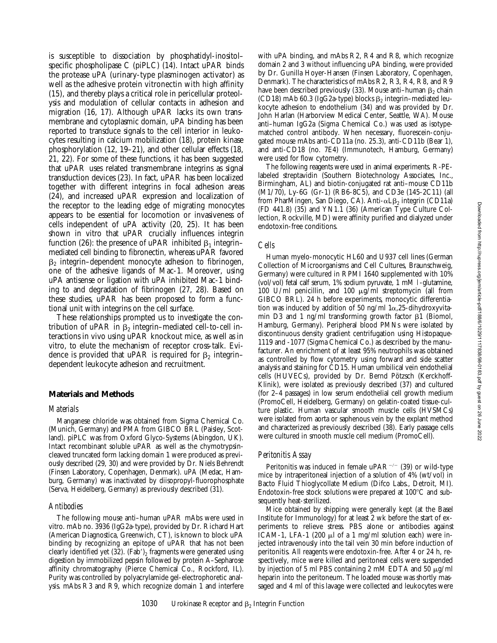is susceptible to dissociation by phosphatidyl-inositol– specific phospholipase C (piPLC) (14). Intact uPAR binds the protease uPA (urinary-type plasminogen activator) as well as the adhesive protein vitronectin with high affinity (15), and thereby plays a critical role in pericellular proteolysis and modulation of cellular contacts in adhesion and migration (16, 17). Although uPAR lacks its own transmembrane and cytoplasmic domain, uPA binding has been reported to transduce signals to the cell interior in leukocytes resulting in calcium mobilization (18), protein kinase phosphorylation (12, 19–21), and other cellular effects (18, 21, 22). For some of these functions, it has been suggested that uPAR uses related transmembrane integrins as signal transduction devices (23). In fact, uPAR has been localized together with different integrins in focal adhesion areas (24), and increased uPAR expression and localization of the receptor to the leading edge of migrating monocytes appears to be essential for locomotion or invasiveness of cells independent of uPA activity (20, 25). It has been shown in vitro that uPAR crucially influences integrin function (26): the presence of uPAR inhibited  $\beta_1$  integrin– mediated cell binding to fibronectin, whereas uPAR favored  $\beta_2$  integrin–dependent monocyte adhesion to fibrinogen, one of the adhesive ligands of Mac-1. Moreover, using uPA antisense or ligation with uPA inhibited Mac-1 binding to and degradation of fibrinogen (27, 28). Based on these studies, uPAR has been proposed to form a functional unit with integrins on the cell surface.

These relationships prompted us to investigate the contribution of uPAR in  $\beta_2$  integrin–mediated cell-to-cell interactions in vivo using uPAR knockout mice, as well as in vitro, to elute the mechanism of receptor cross-talk. Evidence is provided that uPAR is required for  $\beta_2$  integrin– dependent leukocyte adhesion and recruitment.

## **Materials and Methods**

## *Materials*

Manganese chloride was obtained from Sigma Chemical Co. (Munich, Germany) and PMA from GIBCO BRL (Paisley, Scotland). piPLC was from Oxford Glyco-Systems (Abingdon, UK). Intact recombinant soluble uPAR as well as the chymotrypsincleaved truncated form lacking domain 1 were produced as previously described (29, 30) and were provided by Dr. Niels Behrendt (Finsen Laboratory, Copenhagen, Denmark). uPA (Medac, Hamburg, Germany) was inactivated by diisopropyl-fluorophosphate (Serva, Heidelberg, Germany) as previously described (31).

## *Antibodies*

The following mouse anti–human uPAR mAbs were used in vitro. mAb no. 3936 (IgG2a-type), provided by Dr. Richard Hart (American Diagnostica, Greenwich, CT), is known to block uPA binding by recognizing an epitope of uPAR that has not been clearly identified yet (32). (Fab')<sub>2</sub> fragments were generated using digestion by immobilized pepsin followed by protein A–Sepharose affinity chromatography (Pierce Chemical Co., Rockford, IL). Purity was controlled by polyacrylamide gel-electrophoretic analysis. mAbs R3 and R9, which recognize domain 1 and interfere

with uPA binding, and mAbs R2, R4 and R8, which recognize domain 2 and 3 without influencing uPA binding, were provided by Dr. Gunilla Hoyer-Hansen (Finsen Laboratory, Copenhagen, Denmark). The characteristics of mAbs R2, R3, R4, R8, and R9 have been described previously (33). Mouse anti-human  $\beta_2$  chain (CD18) mAb 60.3 (IgG2a-type) blocks  $\beta_2$  integrin–mediated leukocyte adhesion to endothelium (34) and was provided by Dr. John Harlan (Harborview Medical Center, Seattle, WA). Mouse anti–human IgG2a (Sigma Chemical Co.) was used as isotypematched control antibody. When necessary, fluorescein-conjugated mouse mAbs anti-CD11a (no. 25.3), anti-CD11b (Bear 1), and anti-CD18 (no. 7E4) (Immunotech, Hamburg, Germany) were used for flow cytometry.

The following reagents were used in animal experiments. R-PElabeled streptavidin (Southern Biotechnology Associates, Inc., Birmingham, AL) and biotin-conjugated rat anti–mouse CD11b (M1/70), Ly-6G (Gr-1) (RB6-8C5), and CD3e (145-2C11) (all from PharMingen, San Diego, CA). Anti- $\alpha L\beta_2$  integrin (CD11a) (FD 441.8) (35) and YN1.1 (36) (American Type Culture Collection, Rockville, MD) were affinity purified and dialyzed under endotoxin-free conditions.

# *Cells*

Human myelo-monocytic HL60 and U937 cell lines (German Collection of Microorganisms and Cell Cultures, Braunschweig, Germany) were cultured in RPMI 1640 supplemented with 10% (vol/vol) fetal calf serum, 1% sodium pyruvate, 1 mM l-glutamine, 100 U/ml penicillin, and 100  $\mu$ g/ml streptomycin (all from GIBCO BRL). 24 h before experiments, monocytic differentiation was induced by addition of 50 ng/ml  $1\alpha$ ,25-dihydroxyvitamin D3 and 1 ng/ml transforming growth factor  $\beta$ 1 (Biomol, Hamburg, Germany). Peripheral blood PMNs were isolated by discontinuous density gradient centrifugation using Histopaque-1119 and -1077 (Sigma Chemical Co.) as described by the manufacturer. An enrichment of at least 95% neutrophils was obtained as controlled by flow cytometry using forward and side scatter analysis and staining for CD15. Human umbilical vein endothelial cells (HUVECs), provided by Dr. Bernd Pötzsch (Kerckhoff-Klinik), were isolated as previously described (37) and cultured (for 2–4 passages) in low serum endothelial cell growth medium (PromoCell, Heidelberg, Germany) on gelatin-coated tissue-culture plastic. Human vascular smooth muscle cells (HVSMCs) were isolated from aorta or saphenous vein by the explant method and characterized as previously described (38). Early passage cells were cultured in smooth muscle cell medium (PromoCell).

## *Peritonitis Assay*

Peritonitis was induced in female uPAR<sup> $-/-$ </sup> (39) or wild-type mice by intraperitoneal injection of a solution of 4% (wt/vol) in Bacto Fluid Thioglycollate Medium (Difco Labs., Detroit, MI). Endotoxin-free stock solutions were prepared at  $100^{\circ}$ C and subsequently heat-sterilized.

Mice obtained by shipping were generally kept (at the Basel Institute for Immunology) for at least 2 wk before the start of experiments to relieve stress. PBS alone or antibodies against ICAM-1, LFA-1 (200  $\mu$ l of a 1 mg/ml solution each) were injected intravenously into the tail vein 30 min before induction of peritonitis. All reagents were endotoxin-free. After 4 or 24 h, respectively, mice were killed and peritoneal cells were suspended by injection of 5 ml PBS containing 2 mM EDTA and 50  $\mu$ g/ml heparin into the peritoneum. The loaded mouse was shortly massaged and 4 ml of this lavage were collected and leukocytes were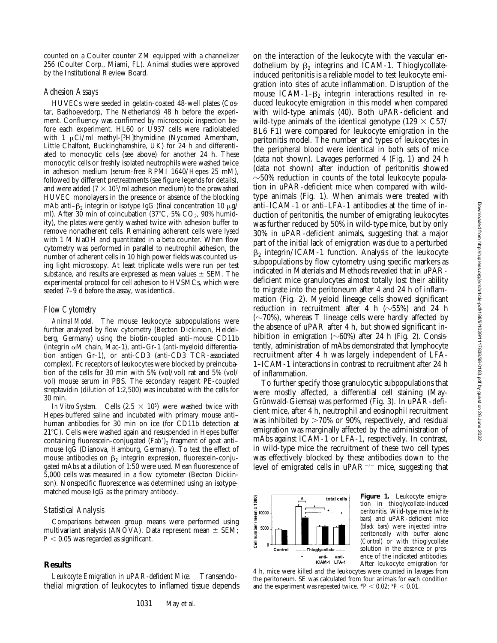counted on a Coulter counter ZM equipped with a channelizer 256 (Coulter Corp., Miami, FL). Animal studies were approved by the Institutional Review Board.

### *Adhesion Assays*

HUVECs were seeded in gelatin-coated 48-well plates (Costar, Badhoevedorp, The Netherlands) 48 h before the experiment. Confluency was confirmed by microscopic inspection before each experiment. HL60 or U937 cells were radiolabeled with 1  $\mu$ Ci/ml methyl-[3H]thymidine (Nycomed Amersham, Little Chalfont, Buckinghamshire, UK) for 24 h and differentiated to monocytic cells (see above) for another 24 h. These monocytic cells or freshly isolated neutrophils were washed twice in adhesion medium (serum-free RPMI 1640/Hepes 25 mM), followed by different pretreatments (see figure legends for details), and were added  $(7 \times 10^5/ml$  adhesion medium) to the prewashed HUVEC monolayers in the presence or absence of the blocking mAb anti- $\beta_2$  integrin or isotype IgG (final concentration 10  $\mu$ g) ml). After 30 min of coincubation (37°C, 5%  $CO<sub>2</sub>$ , 90% humidity), the plates were gently washed twice with adhesion buffer to remove nonadherent cells. Remaining adherent cells were lysed with 1 M NaOH and quantitated in a beta counter. When flow cytometry was performed in parallel to neutrophil adhesion, the number of adherent cells in 10 high power fields was counted using light microscopy. At least triplicate wells were run per test substance, and results are expressed as mean values  $\pm$  SEM. The experimental protocol for cell adhesion to HVSMCs, which were seeded 7–9 d before the assay, was identical.

### *Flow Cytometry*

*Animal Model.* The mouse leukocyte subpopulations were further analyzed by flow cytometry (Becton Dickinson, Heidelberg, Germany) using the biotin-coupled anti–mouse CD11b (integrin  $\alpha$ M chain, Mac-1), anti-Gr-1 (anti-myeloid differentiation antigen Gr-1), or anti-CD3 (anti-CD3 TCR-associated complex). Fc receptors of leukocytes were blocked by preincubation of the cells for 30 min with 5% (vol/vol) rat and 5% (vol/ vol) mouse serum in PBS. The secondary reagent PE-coupled streptavidin (dilution of 1:2,500) was incubated with the cells for 30 min.

*In Vitro System.* Cells  $(2.5 \times 10^5)$  were washed twice with Hepes-buffered saline and incubated with primary mouse anti– human antibodies for 30 min on ice (for CD11b detection at  $21^{\circ}$ C). Cells were washed again and resuspended in Hepes buffer containing fluorescein-conjugated  $(Fab')_2$  fragment of goat antimouse IgG (Dianova, Hamburg, Germany). To test the effect of mouse antibodies on  $\beta_2$  integrin expression, fluorescein-conjugated mAbs at a dilution of 1:50 were used. Mean fluorescence of 5,000 cells was measured in a flow cytometer (Becton Dickinson). Nonspecific fluorescence was determined using an isotypematched mouse IgG as the primary antibody.

#### *Statistical Analysis*

Comparisons between group means were performed using multivariant analysis (ANOVA). Data represent mean  $\pm$  SEM;  $P < 0.05$  was regarded as significant.

### **Results**

*Leukocyte Emigration in uPAR-deficient Mice.* Transendothelial migration of leukocytes to inflamed tissue depends

on the interaction of the leukocyte with the vascular endothelium by  $\beta_2$  integrins and ICAM-1. Thioglycollateinduced peritonitis is a reliable model to test leukocyte emigration into sites of acute inflammation. Disruption of the mouse ICAM-1– $\beta_2$  integrin interactions resulted in reduced leukocyte emigration in this model when compared with wild-type animals (40). Both uPAR-deficient and wild-type animals of the identical genotype (129  $\times$  C57/ BL6 F1) were compared for leukocyte emigration in the peritonitis model. The number and types of leukocytes in the peripheral blood were identical in both sets of mice (data not shown). Lavages performed 4 (Fig. 1) and 24 h (data not shown) after induction of peritonitis showed  $\sim$ 50% reduction in counts of the total leukocyte population in uPAR-deficient mice when compared with wildtype animals (Fig. 1). When animals were treated with anti–ICAM-1 or anti–LFA-1 antibodies at the time of induction of peritonitis, the number of emigrating leukocytes was further reduced by 50% in wild-type mice, but by only 30% in uPAR-deficient animals, suggesting that a major part of the initial lack of emigration was due to a perturbed  $\beta_2$  integrin/ICAM-1 function. Analysis of the leukocyte subpopulations by flow cytometry using specific markers as indicated in Materials and Methods revealed that in uPARdeficient mice granulocytes almost totally lost their ability to migrate into the peritoneum after 4 and 24 h of inflammation (Fig. 2). Myeloid lineage cells showed significant reduction in recruitment after 4 h  $(\sim 55%)$  and 24 h  $(\sim 70\%)$ , whereas T lineage cells were hardly affected by the absence of uPAR after 4 h, but showed significant inhibition in emigration ( $\sim 60\%$ ) after 24 h (Fig. 2). Consistently, administration of mAbs demonstrated that lymphocyte recruitment after 4 h was largely independent of LFA-1–ICAM-1 interactions in contrast to recruitment after 24 h of inflammation.

To further specify those granulocytic subpopulations that were mostly affected, a differential cell staining (May-Grünwald-Giemsa) was performed (Fig. 3). In uPAR-deficient mice, after 4 h, neutrophil and eosinophil recruitment was inhibited by  $>70\%$  or 90%, respectively, and residual emigration was marginally affected by the administration of mAbs against ICAM-1 or LFA-1, respectively. In contrast, in wild-type mice the recruitment of these two cell types was effectively blocked by these antibodies down to the level of emigrated cells in uPAR<sup> $-/-$ </sup> mice, suggesting that



**Figure 1.** Leukocyte emigration in thioglycollate-induced peritonitis. Wild-type mice (*white bars*) and uPAR-deficient mice (*black bars*) were injected intraperitoneally with buffer alone (*Control*) or with thioglycollate solution in the absence or presence of the indicated antibodies. After leukocyte emigration for

4 h, mice were killed and the leukocytes were counted in lavages from the peritoneum. SE was calculated from four animals for each condition and the experiment was repeated twice.  $^{#}P < 0.02$ ;  $^{*}P < 0.01$ .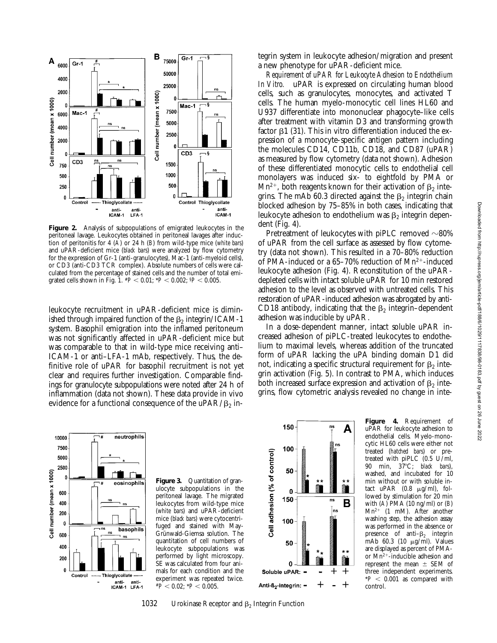

Figure 2. Analysis of subpopulations of emigrated leukocytes in the peritoneal lavage. Leukocytes obtained in peritoneal lavages after induction of peritonitis for 4 (*A*) or 24 h (*B*) from wild-type mice (*white bars*) and uPAR-deficient mice (*black bars*) were analyzed by flow cytometry for the expression of Gr-1 (anti-granulocytes), Mac-1 (anti-myeloid cells), or CD3 (anti-CD3 TCR complex). Absolute numbers of cells were calculated from the percentage of stained cells and the number of total emigrated cells shown in Fig. 1.  $^{*}P < 0.01$ ;  $^{*}P < 0.002$ ;  $^{5}P < 0.005$ .

leukocyte recruitment in uPAR-deficient mice is diminished through impaired function of the  $\beta_2$  integrin/ICAM-1 system. Basophil emigration into the inflamed peritoneum was not significantly affected in uPAR-deficient mice but was comparable to that in wild-type mice receiving anti– ICAM-1 or anti–LFA-1 mAb, respectively. Thus, the definitive role of uPAR for basophil recruitment is not yet clear and requires further investigation. Comparable findings for granulocyte subpopulations were noted after 24 h of inflammation (data not shown). These data provide in vivo evidence for a functional consequence of the uPAR/ $\beta_2$  integrin system in leukocyte adhesion/migration and present a new phenotype for uPAR-deficient mice.

*Requirement of uPAR for Leukocyte Adhesion to Endothelium In Vitro.* uPAR is expressed on circulating human blood cells, such as granulocytes, monocytes, and activated T cells. The human myelo-monocytic cell lines HL60 and U937 differentiate into mononuclear phagocyte–like cells after treatment with vitamin D3 and transforming growth factor  $\beta$ 1 (31). This in vitro differentiation induced the expression of a monocyte-specific antigen pattern including the molecules CD14, CD11b, CD18, and CD87 (uPAR) as measured by flow cytometry (data not shown). Adhesion of these differentiated monocytic cells to endothelial cell monolayers was induced six- to eightfold by PMA or  $Mn^{2+}$ , both reagents known for their activation of  $\beta_2$  integrins. The mAb 60.3 directed against the  $\beta_2$  integrin chain blocked adhesion by 75–85% in both cases, indicating that leukocyte adhesion to endothelium was  $\beta_2$  integrin dependent (Fig. 4).

Pretreatment of leukocytes with piPLC removed  $\sim$ 80% of uPAR from the cell surface as assessed by flow cytometry (data not shown). This resulted in a 70–80% reduction of PMA-induced or a  $65-70\%$  reduction of Mn<sup>2+</sup>-induced leukocyte adhesion (Fig. 4). Reconstitution of the uPARdepleted cells with intact soluble uPAR for 10 min restored adhesion to the level as observed with untreated cells. This restoration of uPAR-induced adhesion was abrogated by anti-CD18 antibody, indicating that the  $\beta_2$  integrin–dependent adhesion was inducible by uPAR.

In a dose-dependent manner, intact soluble uPAR increased adhesion of piPLC-treated leukocytes to endothelium to maximal levels, whereas addition of the truncated form of uPAR lacking the uPA binding domain D1 did not, indicating a specific structural requirement for  $\beta_2$  integrin activation (Fig. 5). In contrast to PMA, which induces both increased surface expression and activation of  $\beta_2$  integrins, flow cytometric analysis revealed no change in inte-





**Figure 3.** Quantitation of granulocyte subpopulations in the peritoneal lavage. The migrated leukocytes from wild-type mice (*white bars*) and uPAR-deficient mice (*black bars*) were cytocentrifuged and stained with May-Grünwald-Giemsa solution. The quantitation of cell numbers of leukocyte subpopulations was performed by light microscopy. SE was calculated from four animals for each condition and the experiment was repeated twice.  $*P < 0.02$ ;  $*P < 0.005$ .



**Figure 4.** Requirement of uPAR for leukocyte adhesion to endothelial cells. Myelo-monocytic HL60 cells were either not treated (*hatched bars*) or pretreated with piPLC  $(0.5 \text{ U/m})$ , 90 min, 378C; *black bars*), washed, and incubated for 10 min without or with soluble intact uPAR  $(0.8 \mu g/ml)$ , followed by stimulation for 20 min with (*A*) PMA (10 ng/ml) or (*B*)  $Mn^{2+}$  (1 mM). After another washing step, the adhesion assay was performed in the absence or presence of anti- $\beta_2$  integrin mAb  $60.3$  (10  $\mu$ g/ml). Values are displayed as percent of PMAor  $Mn^{2+}$ -inducible adhesion and represent the mean  $\pm$  SEM of three independent experiments.  $*P < 0.001$  as compared with control.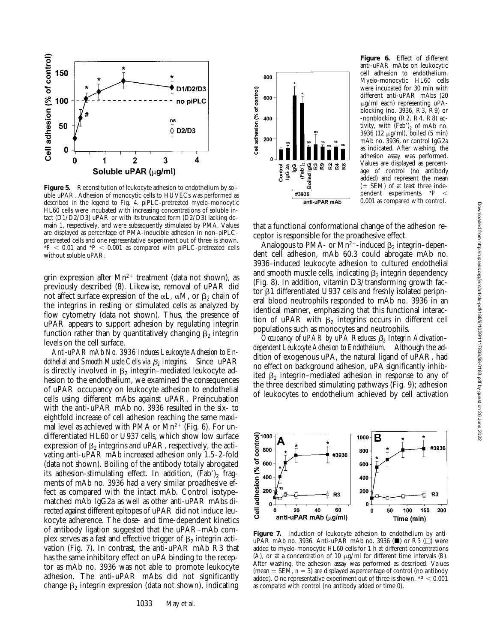

Figure 5. Reconstitution of leukocyte adhesion to endothelium by soluble uPAR. Adhesion of monocytic cells to HUVECs was performed as described in the legend to Fig. 4. piPLC-pretreated myelo-monocytic HL60 cells were incubated with increasing concentrations of soluble intact (D1/D2/D3) uPAR or with its truncated form (D2/D3) lacking domain 1, respectively, and were subsequently stimulated by PMA. Values are displayed as percentage of PMA-inducible adhesion in non–piPLCpretreated cells and one representative experiment out of three is shown.  $^{*}P$   $<$  0.01 and  $^{*}P$   $<$  0.001 as compared with piPLC-pretreated cells without soluble uPAR.

grin expression after  $Mn^{2+}$  treatment (data not shown), as previously described (8). Likewise, removal of uPAR did not affect surface expression of the  $\alpha L$ ,  $\alpha M$ , or  $\beta_2$  chain of the integrins in resting or stimulated cells as analyzed by flow cytometry (data not shown). Thus, the presence of uPAR appears to support adhesion by regulating integrin function rather than by quantitatively changing  $\beta_2$  integrin levels on the cell surface.

*Anti-uPAR mAb No. 3936 Induces Leukocyte Adhesion to Endothelial and Smooth Muscle Cells via* b*2 Integrins.* Since uPAR is directly involved in  $\beta_2$  integrin–mediated leukocyte adhesion to the endothelium, we examined the consequences of uPAR occupancy on leukocyte adhesion to endothelial cells using different mAbs against uPAR. Preincubation with the anti-uPAR mAb no. 3936 resulted in the six- to eightfold increase of cell adhesion reaching the same maximal level as achieved with PMA or  $Mn^{2+}$  (Fig. 6). For undifferentiated HL60 or U937 cells, which show low surface expression of  $\beta_2$  integrins and uPAR, respectively, the activating anti-uPAR mAb increased adhesion only 1.5–2-fold (data not shown). Boiling of the antibody totally abrogated its adhesion-stimulating effect. In addition,  $(Fab')$  fragments of mAb no. 3936 had a very similar proadhesive effect as compared with the intact mAb. Control isotype– matched mAb IgG2a as well as other anti-uPAR mAbs directed against different epitopes of uPAR did not induce leukocyte adherence. The dose- and time-dependent kinetics of antibody ligation suggested that the uPAR–mAb complex serves as a fast and effective trigger of  $\beta_2$  integrin activation (Fig. 7). In contrast, the anti-uPAR mAb R3 that has the same inhibitory effect on uPA binding to the receptor as mAb no. 3936 was not able to promote leukocyte adhesion. The anti-uPAR mAbs did not significantly change  $\beta_2$  integrin expression (data not shown), indicating



**Figure 6.** Effect of different anti-uPAR mAbs on leukocytic cell adhesion to endothelium. Myelo-monocytic HL60 cells were incubated for 30 min with different anti-uPAR mAbs (20  $\mu$ g/ml each) representing uPAblocking (no. 3936, R3, R9) or -nonblocking (R2, R4, R8) activity, with  $(Fab')_2$  of mAb no. 3936 (12  $\mu$ g/ml), boiled (5 min) mAb no. 3936, or control IgG2a as indicated. After washing, the adhesion assay was performed. Values are displayed as percentage of control (no antibody added) and represent the mean  $(\pm$  SEM) of at least three independent experiments.  $*P <$ 0.001 as compared with control.

that a functional conformational change of the adhesion receptor is responsible for the proadhesive effect.

Analogous to PMA- or  $Mn^{2+}$ -induced  $\beta_2$  integrin–dependent cell adhesion, mAb 60.3 could abrogate mAb no. 3936–induced leukocyte adhesion to cultured endothelial and smooth muscle cells, indicating  $\beta_2$  integrin dependency (Fig. 8). In addition, vitamin D3/transforming growth factor β1 differentiated U937 cells and freshly isolated peripheral blood neutrophils responded to mAb no. 3936 in an identical manner, emphasizing that this functional interaction of uPAR with  $\beta_2$  integrins occurs in different cell populations such as monocytes and neutrophils.

*Occupancy of uPAR by uPA Reduces* b*2 Integrin Activation– dependent Leukocyte Adhesion to Endothelium.* Although the addition of exogenous uPA, the natural ligand of uPAR, had no effect on background adhesion, uPA significantly inhibited  $\beta$ , integrin–mediated adhesion in response to any of the three described stimulating pathways (Fig. 9); adhesion of leukocytes to endothelium achieved by cell activation



Figure 7. Induction of leukocyte adhesion to endothelium by antiuPAR mAb no. 3936. Anti-uPAR mAb no. 3936  $(\blacksquare)$  or R3  $(\square)$  were added to myelo-monocytic HL60 cells for 1 h at different concentrations (*A*), or at a concentration of 10  $\mu$ g/ml for different time intervals (*B*). After washing, the adhesion assay was performed as described. Values (mean  $\pm$  SEM,  $n = 3$ ) are displayed as percentage of control (no antibody added). One representative experiment out of three is shown.  $*P < 0.001$ as compared with control (no antibody added or time 0).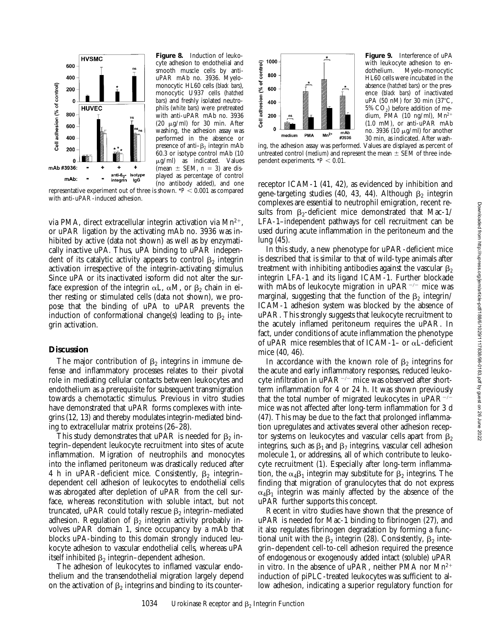

**Figure 8.** Induction of leukocyte adhesion to endothelial and smooth muscle cells by antiuPAR mAb no. 3936. Myelomonocytic HL60 cells (*black bars*), monocytic U937 cells (*hatched bars*) and freshly isolated neutrophils (*white bars*) were pretreated with anti-uPAR mAb no. 3936 (20  $\mu$ g/ml) for 30 min. After washing, the adhesion assay was performed in the absence or presence of anti- $\beta_2$  integrin mAb 60.3 or isotype control mAb (10  $\mu$ g/ml) as indicated. Values (mean  $\pm$  SEM,  $n = 3$ ) are displayed as percentage of control (no antibody added), and one

representative experiment out of three is shown.  $*P \leq 0.001$  as compared with anti-uPAR-induced adhesion.

via PMA, direct extracellular integrin activation via  $Mn^{2+}$ , or uPAR ligation by the activating mAb no. 3936 was inhibited by active (data not shown) as well as by enzymatically inactive uPA. Thus, uPA binding to uPAR independent of its catalytic activity appears to control  $\beta_2$  integrin activation irrespective of the integrin-activating stimulus. Since uPA or its inactivated isoform did not alter the surface expression of the integrin  $\alpha L$ ,  $\alpha M$ , or  $\beta_2$  chain in either resting or stimulated cells (data not shown), we propose that the binding of uPA to uPAR prevents the induction of conformational change(s) leading to  $\beta_2$  integrin activation.

## **Discussion**

The major contribution of  $\beta_2$  integrins in immune defense and inflammatory processes relates to their pivotal role in mediating cellular contacts between leukocytes and endothelium as a prerequisite for subsequent transmigration towards a chemotactic stimulus. Previous in vitro studies have demonstrated that uPAR forms complexes with integrins (12, 13) and thereby modulates integrin-mediated binding to extracellular matrix proteins (26–28).

This study demonstrates that uPAR is needed for  $\beta_2$  integrin–dependent leukocyte recruitment into sites of acute inflammation. Migration of neutrophils and monocytes into the inflamed peritoneum was drastically reduced after 4 h in uPAR-deficient mice. Consistently,  $\beta_2$  integrin– dependent cell adhesion of leukocytes to endothelial cells was abrogated after depletion of uPAR from the cell surface, whereas reconstitution with soluble intact, but not truncated, uPAR could totally rescue  $\beta_2$  integrin–mediated adhesion. Regulation of  $\beta_2$  integrin activity probably involves uPAR domain 1, since occupancy by a mAb that blocks uPA-binding to this domain strongly induced leukocyte adhesion to vascular endothelial cells, whereas uPA itself inhibited  $\beta_2$  integrin–dependent adhesion.

The adhesion of leukocytes to inflamed vascular endothelium and the transendothelial migration largely depend on the activation of  $\beta_2$  integrins and binding to its counter-



**Figure 9.** Interference of uPA with leukocyte adhesion to en-<br>dothelium. Myelo-monocytic Myelo-monocytic HL60 cells were incubated in the absence (*hatched bars*) or the presence (*black bars*) of inactivated uPA (50 nM) for 30 min (37 $^{\circ}$ C,  $5\%$  CO<sub>2</sub>) before addition of medium, PMA (10 ng/ml),  $Mn^{2+}$ (1.0 mM), or anti-uPAR mAb no. 3936 (10  $\mu$ g/ml) for another 30 min, as indicated. After wash-

ing, the adhesion assay was performed. Values are displayed as percent of untreated control (*medium*) and represent the mean  $\pm$  SEM of three independent experiments.  $*P < 0.01$ .

receptor ICAM-1 (41, 42), as evidenced by inhibition and gene-targeting studies (40, 43, 44). Although  $\beta_2$  integrin complexes are essential to neutrophil emigration, recent results from  $\beta_2$ -deficient mice demonstrated that Mac-1/ LFA-1–independent pathways for cell recruitment can be used during acute inflammation in the peritoneum and the lung (45).

In this study, a new phenotype for uPAR-deficient mice is described that is similar to that of wild-type animals after treatment with inhibiting antibodies against the vascular  $\beta_2$ integrin LFA-1 and its ligand ICAM-1. Further blockade with mAbs of leukocyte migration in uPAR $^{-/-}$  mice was marginal, suggesting that the function of the  $\beta_2$  integrin/ ICAM-1 adhesion system was blocked by the absence of uPAR. This strongly suggests that leukocyte recruitment to the acutely inflamed peritoneum requires the uPAR. In fact, under conditions of acute inflammation the phenotype of uPAR mice resembles that of ICAM-1– or  $\alpha$ L-deficient mice (40, 46).

In accordance with the known role of  $\beta_2$  integrins for the acute and early inflammatory responses, reduced leukocyte infiltration in uPAR $^{-/-}$  mice was observed after shortterm inflammation for 4 or 24 h. It was shown previously that the total number of migrated leukocytes in  $\mu$ PAR<sup>-/-</sup> mice was not affected after long-term inflammation for 3 d (47). This may be due to the fact that prolonged inflammation upregulates and activates several other adhesion receptor systems on leukocytes and vascular cells apart from  $\beta_2$ integrins, such as  $\beta_1$  and  $\beta_7$  integrins, vascular cell adhesion molecule 1, or addressins, all of which contribute to leukocyte recruitment (1). Especially after long-term inflammation, the  $\alpha_4\beta_1$  integrin may substitute for  $\beta_2$  integrins. The finding that migration of granulocytes that do not express  $\alpha_4\beta_1$  integrin was mainly affected by the absence of the uPAR further supports this concept.

Recent in vitro studies have shown that the presence of uPAR is needed for Mac-1 binding to fibrinogen (27), and it also regulates fibrinogen degradation by forming a functional unit with the  $\beta_2$  integrin (28). Consistently,  $\beta_2$  integrin–dependent cell-to-cell adhesion required the presence of endogenous or exogenously added intact (soluble) uPAR in vitro. In the absence of uPAR, neither PMA nor  $Mn^{2+}$ induction of piPLC-treated leukocytes was sufficient to allow adhesion, indicating a superior regulatory function for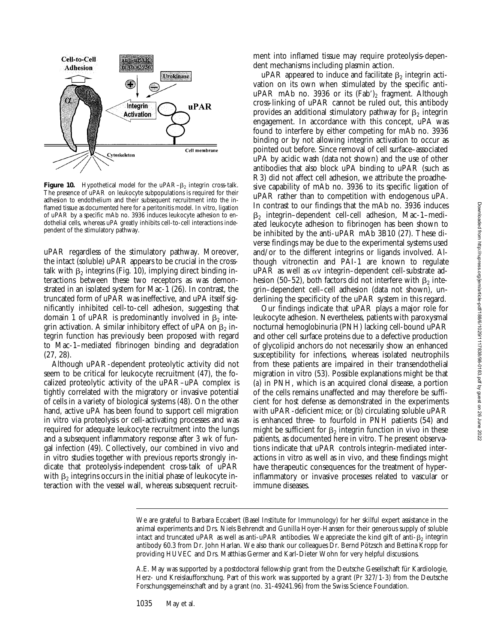

**Figure 10.** Hypothetical model for the  $uPAR-\beta_2$  integrin cross-talk. The presence of uPAR on leukocyte subpopulations is required for their adhesion to endothelium and their subsequent recruitment into the inflamed tissue as documented here for a peritonitis model. In vitro, ligation of uPAR by a specific mAb no. 3936 induces leukocyte adhesion to endothelial cells, whereas uPA greatly inhibits cell-to-cell interactions independent of the stimulatory pathway.

uPAR regardless of the stimulatory pathway. Moreover, the intact (soluble) uPAR appears to be crucial in the crosstalk with  $\beta_2$  integrins (Fig. 10), implying direct binding interactions between these two receptors as was demonstrated in an isolated system for Mac-1 (26). In contrast, the truncated form of uPAR was ineffective, and uPA itself significantly inhibited cell-to-cell adhesion, suggesting that domain 1 of uPAR is predominantly involved in  $\beta$ , integrin activation. A similar inhibitory effect of uPA on  $\beta_2$  integrin function has previously been proposed with regard to Mac-1–mediated fibrinogen binding and degradation (27, 28).

Although uPAR-dependent proteolytic activity did not seem to be critical for leukocyte recruitment (47), the focalized proteolytic activity of the uPAR–uPA complex is tightly correlated with the migratory or invasive potential of cells in a variety of biological systems (48). On the other hand, active uPA has been found to support cell migration in vitro via proteolysis or cell-activating processes and was required for adequate leukocyte recruitment into the lungs and a subsequent inflammatory response after 3 wk of fungal infection (49). Collectively, our combined in vivo and in vitro studies together with previous reports strongly indicate that proteolysis-independent cross-talk of uPAR with  $\beta_2$  integrins occurs in the initial phase of leukocyte interaction with the vessel wall, whereas subsequent recruitment into inflamed tissue may require proteolysis-dependent mechanisms including plasmin action.

uPAR appeared to induce and facilitate  $\beta_2$  integrin activation on its own when stimulated by the specific antiuPAR mAb no. 3936 or its  $(Fab')_2$  fragment. Although cross-linking of uPAR cannot be ruled out, this antibody provides an additional stimulatory pathway for  $\beta_2$  integrin engagement. In accordance with this concept, uPA was found to interfere by either competing for mAb no. 3936 binding or by not allowing integrin activation to occur as pointed out before. Since removal of cell surface–associated uPA by acidic wash (data not shown) and the use of other antibodies that also block uPA binding to uPAR (such as R3) did not affect cell adhesion, we attribute the proadhesive capability of mAb no. 3936 to its specific ligation of uPAR rather than to competition with endogenous uPA. In contrast to our findings that the mAb no. 3936 induces  $\beta$ <sub>2</sub> integrin–dependent cell-cell adhesion, Mac-1–mediated leukocyte adhesion to fibrinogen has been shown to be inhibited by the anti-uPAR mAb 3B10 (27). These diverse findings may be due to the experimental systems used and/or to the different integrins or ligands involved. Although vitronectin and PAI-1 are known to regulate  $uPAR$  as well as  $\alpha v$  integrin–dependent cell-substrate adhesion (50–52), both factors did not interfere with  $\beta_2$  integrin–dependent cell–cell adhesion (data not shown), underlining the specificity of the uPAR system in this regard.

Our findings indicate that uPAR plays a major role for leukocyte adhesion. Nevertheless, patients with paroxysmal nocturnal hemoglobinuria (PNH) lacking cell-bound uPAR and other cell surface proteins due to a defective production of glycolipid anchors do not necessarily show an enhanced susceptibility for infections, whereas isolated neutrophils from these patients are impaired in their transendothelial migration in vitro (53). Possible explanations might be that (*a*) in PNH, which is an acquired clonal disease, a portion of the cells remains unaffected and may therefore be sufficient for host defense as demonstrated in the experiments with uPAR-deficient mice; or (*b*) circulating soluble uPAR is enhanced three- to fourfold in PNH patients (54) and might be sufficient for  $\beta_2$  integrin function in vivo in these patients, as documented here in vitro. The present observations indicate that uPAR controls integrin-mediated interactions in vitro as well as in vivo, and these findings might have therapeutic consequences for the treatment of hyperinflammatory or invasive processes related to vascular or immune diseases.

A.E. May was supported by a postdoctoral fellowship grant from the Deutsche Gesellschaft für Kardiologie, Herz- und Kreislaufforschung. Part of this work was supported by a grant (Pr 327/1-3) from the Deutsche Forschungsgemeinschaft and by a grant (no. 31-49241.96) from the Swiss Science Foundation.

1035 May et al.

We are grateful to Barbara Eccabert (Basel Institute for Immunology) for her skilful expert assistance in the animal experiments and Drs. Niels Behrendt and Gunilla Hoyer-Hansen for their generous supply of soluble intact and truncated uPAR as well as anti-uPAR antibodies. We appreciate the kind gift of anti- $\beta_2$  integrin antibody 60.3 from Dr. John Harlan. We also thank our colleagues Dr. Bernd Pötzsch and Bettina Kropp for providing HUVEC and Drs. Matthias Germer and Karl-Dieter Wohn for very helpful discussions.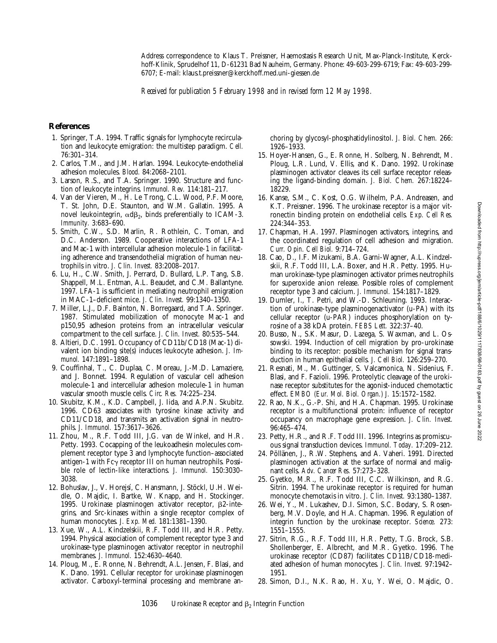Address correspondence to Klaus T. Preissner, Haemostasis Research Unit, Max-Planck-Institute, Kerckhoff-Klinik, Sprudelhof 11, D-61231 Bad Nauheim, Germany. Phone: 49-603-299-6719; Fax: 49-603-299- 6707; E-mail: klaus.t.preissner@kerckhoff.med.uni-giessen.de

*Received for publication 5 February 1998 and in revised form 12 May 1998.*

### **References**

- 1. Springer, T.A. 1994. Traffic signals for lymphocyte recirculation and leukocyte emigration: the multistep paradigm. *Cell.* 76:301–314.
- 2. Carlos, T.M., and J.M. Harlan. 1994. Leukocyte-endothelial adhesion molecules. *Blood.* 84:2068–2101.
- 3. Larson, R.S., and T.A. Springer. 1990. Structure and function of leukocyte integrins. *Immunol. Rev.* 114:181–217.
- 4. Van der Vieren, M., H. Le Trong, C.L. Wood, P.F. Moore, T. St. John, D.E. Staunton, and W.M. Gallatin. 1995. A novel leukointegrin,  $\alpha d\beta_2$ , binds preferentially to ICAM-3. *Immunity.* 3:683–690.
- 5. Smith, C.W., S.D. Marlin, R. Rothlein, C. Toman, and D.C. Anderson. 1989. Cooperative interactions of LFA-1 and Mac-1 with intercellular adhesion molecule-1 in facilitating adherence and transendothelial migration of human neutrophils in vitro. *J. Clin. Invest.* 83:2008–2017.
- 6. Lu, H., C.W. Smith, J. Perrard, D. Bullard, L.P. Tang, S.B. Shappell, M.L. Entman, A.L. Beaudet, and C.M. Ballantyne. 1997. LFA-1 is sufficient in mediating neutrophil emigration in MAC-1–deficient mice. *J. Clin. Invest.* 99:1340–1350.
- 7. Miller, L.J., D.F. Bainton, N. Borregaard, and T.A. Springer. 1987. Stimulated mobilization of monocyte Mac-1 and p150,95 adhesion proteins from an intracellular vesicular compartment to the cell surface. *J. Clin. Invest.* 80:535–544.
- 8. Altieri, D.C. 1991. Occupancy of CD11b/CD18 (Mac-1) divalent ion binding site(s) induces leukocyte adhesion. *J. Immunol.* 147:1891–1898.
- 9. Couffinhal, T., C. Duplaa, C. Moreau, J.-M.D. Lamaziere, and J. Bonnet. 1994. Regulation of vascular cell adhesion molecule-1 and intercellular adhesion molecule-1 in human vascular smooth muscle cells. *Circ. Res.* 74:225–234.
- 10. Skubitz, K.M., K.D. Campbell, J. Iida, and A.P.N. Skubitz. 1996. CD63 associates with tyrosine kinase activity and CD11/CD18, and transmits an activation signal in neutrophils. *J. Immunol.* 157:3617–3626.
- 11. Zhou, M., R.F. Todd III, J.G. van de Winkel, and H.R. Petty. 1993. Cocapping of the leukoadhesin molecules complement receptor type 3 and lymphocyte function–associated antigen-1 with  $Fc\gamma$  receptor III on human neutrophils. Possible role of lectin-like interactions. *J. Immunol.* 150:3030– 3038.
- 12. Bohuslav, J., V. Horejsí, C. Hansmann, J. Stöckl, U.H. Weidle, O. Majdic, I. Bartke, W. Knapp, and H. Stockinger. 1995. Urokinase plasminogen activator receptor, β2-integrins, and Src-kinases within a single receptor complex of human monocytes. *J. Exp. Med.* 181:1381–1390.
- 13. Xue, W., A.L. Kindzelskii, R.F. Todd III, and H.R. Petty. 1994. Physical association of complement receptor type 3 and urokinase-type plasminogen activator receptor in neutrophil membranes. *J. Immunol.* 152:4630–4640.
- 14. Ploug, M., E. Ronne, N. Behrendt, A.L. Jensen, F. Blasi, and K. Dano. 1991. Cellular receptor for urokinase plasminogen activator. Carboxyl-terminal processing and membrane an-

choring by glycosyl-phosphatidylinositol. *J. Biol. Chem.* 266: 1926–1933.

- 15. Hoyer-Hansen, G., E. Ronne, H. Solberg, N. Behrendt, M. Ploug, L.R. Lund, V. Ellis, and K. Dano. 1992. Urokinase plasminogen activator cleaves its cell surface receptor releasing the ligand-binding domain. *J. Biol. Chem.* 267:18224– 18229.
- 16. Kanse, S.M., C. Kost, O.G. Wilhelm, P.A. Andreasen, and K.T. Preissner. 1996. The urokinase receptor is a major vitronectin binding protein on endothelial cells. *Exp. Cell Res.* 224:344–353.
- 17. Chapman, H.A. 1997. Plasminogen activators, integrins, and the coordinated regulation of cell adhesion and migration. *Curr. Opin. Cell Biol.* 9:714–724.
- 18. Cao, D., I.F. Mizukami, B.A. Garni-Wagner, A.L. Kindzelskii, R.F. Todd III, L.A. Boxer, and H.R. Petty. 1995. Human urokinase-type plasminogen activator primes neutrophils for superoxide anion release. Possible roles of complement receptor type 3 and calcium. *J. Immunol.* 154:1817–1829.
- 19. Dumler, I., T. Petri, and W.-D. Schleuning. 1993. Interaction of urokinase-type plasminogenactivator (u-PA) with its cellular receptor (u-PAR) induces phosphorylation on tyrosine of a 38 kDA protein. *FEBS Lett.* 322:37–40.
- 20. Busso, N., S.K. Masur, D. Lazega, S. Waxman, and L. Ossowski. 1994. Induction of cell migration by pro-urokinase binding to its receptor: possible mechanism for signal transduction in human epithelial cells. *J. Cell Biol.* 126:259–270.
- 21. Resnati, M., M. Guttinger, S. Valcamonica, N. Sidenius, F. Blasi, and F. Fazioli. 1996. Proteolytic cleavage of the urokinase receptor substitutes for the agonist-induced chemotactic effect. *EMBO (Eur. Mol. Biol. Organ.) J.* 15:1572–1582.
- 22. Rao, N.K., G.-P. Shi, and H.A. Chapman. 1995. Urokinase receptor is a multifunctional protein: influence of receptor occupancy on macrophage gene expression. *J. Clin. Invest.* 96:465–474.
- 23. Petty, H.R., and R.F. Todd III. 1996. Integrins as promiscuous signal transduction devices. *Immunol. Today.* 17:209–212.
- 24. Pöllänen, J., R.W. Stephens, and A. Vaheri. 1991. Directed plasminogen activation at the surface of normal and malignant cells. *Adv. Cancer Res.* 57:273–328.
- 25. Gyetko, M.R., R.F. Todd III, C.C. Wilkinson, and R.G. Sitrin. 1994. The urokinase receptor is required for human monocyte chemotaxis in vitro. *J. Clin. Invest.* 93:1380–1387.
- 26. Wei, Y., M. Lukashev, D.I. Simon, S.C. Bodary, S. Rosenberg, M.V. Doyle, and H.A. Chapman. 1996. Regulation of integrin function by the urokinase receptor. *Science.* 273:  $155\bar{1} - 1555.$
- 27. Sitrin, R.G., R.F. Todd III, H.R. Petty, T.G. Brock, S.B. Shollenberger, E. Albrecht, and M.R. Gyetko. 1996. The urokinase receptor (CD87) facilitates CD11B/CD18-mediated adhesion of human monocytes. *J. Clin. Invest.* 97:1942– 1951.
- 28. Simon, D.I., N.K. Rao, H. Xu, Y. Wei, O. Majdic, O.